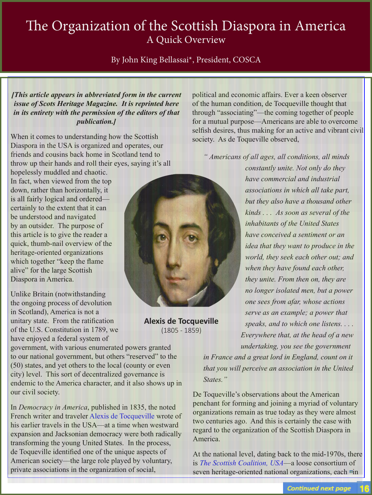## The Organization of the Scottish Diaspora in America A Quick Overview

By John King Bellassai\*, President, COSCA

*[This article appears in abbreviated form in the current issue of Scots Heritage Magazine. It is reprinted here in its entirety with the permission of the editors of that publication.]*

When it comes to understanding how the Scottish Diaspora in the USA is organized and operates, our friends and cousins back home in Scotland tend to throw up their hands and roll their eyes, saying it's all

hopelessly muddled and chaotic. In fact, when viewed from the top down, rather than horizontally, it is all fairly logical and ordered certainly to the extent that it can be understood and navigated by an outsider. The purpose of this article is to give the reader a quick, thumb-nail overview of the heritage-oriented organizations which together "keep the flame" alive" for the large Scottish Diaspora in America.

Unlike Britain (notwithstanding the ongoing process of devolution in Scotland), America is not a unitary state. From the ratification of the U.S. Constitution in 1789, we have enjoyed a federal system of

government, with various enumerated powers granted to our national government, but others "reserved" to the (50) states, and yet others to the local (county or even city) level. This sort of decentralized governance is endemic to the America character, and it also shows up in our civil society.

In *Democracy in America*, published in 1835, the noted French writer and traveler Alexis de Tocqueville wrote of his earlier travels in the USA—at a time when westward expansion and Jacksonian democracy were both radically transforming the young United States. In the process, de Toqueville identified one of the unique aspects of American society—the large role played by voluntary, private associations in the organization of social,



**Alexis de Tocqueville** (1805 - 1859)

political and economic affairs. Ever a keen observer of the human condition, de Tocqueville thought that through "associating"—the coming together of people for a mutual purpose—Americans are able to overcome selfish desires, thus making for an active and vibrant civil society. As de Toqueville observed,

*" Americans of all ages, all conditions, all minds* 

*constantly unite. Not only do they have commercial and industrial associations in which all take part, but they also have a thousand other kinds . . . As soon as several of the inhabitants of the United States have conceived a sentiment or an idea that they want to produce in the world, they seek each other out; and when they have found each other, they unite. From then on, they are no longer isolated men, but a power one sees from afar, whose actions serve as an example; a power that speaks, and to which one listens. . . . Everywhere that, at the head of a new undertaking, you see the government in France and a great lord in England, count on it* 

*that you will perceive an association in the United States."*

De Toqueville's observations about the American penchant for forming and joining a myriad of voluntary organizations remain as true today as they were almost two centuries ago. And this is certainly the case with regard to the organization of the Scottish Diaspora in America.

At the national level, dating back to the mid-1970s, there is *The Scottish Coalition, USA*—a loose consortium of seven heritage-oriented national organizations, each in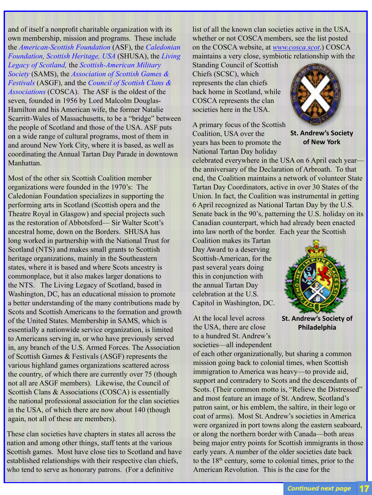and of itself a nonprofit charitable organization with its own membership, mission and programs. These include the *American-Scottish Foundation* (ASF), the *Caledonian Foundation, Scottish Heritage, USA* (SHUSA), the *Living Legacy of Scotland,* the *Scottish-American Military Society* (SAMS), the *Association of Scottish Games & Festivals* (ASGF), and the *Council of Scottish Clans & Associations* (COSCA). The ASF is the oldest of the seven, founded in 1956 by Lord Malcolm Douglas-Hamilton and his American wife, the former Natalie Scarritt-Wales of Massachusetts, to be a "bridge" between the people of Scotland and those of the USA. ASF puts on a wide range of cultural programs, most of them in and around New York City, where it is based, as well as coordinating the Annual Tartan Day Parade in downtown Manhattan.

Most of the other six Scottish Coalition member organizations were founded in the 1970's: The Caledonian Foundation specializes in supporting the performing arts in Scotland (Scottish opera and the Theatre Royal in Glasgow) and special projects such as the restoration of Abbotsford— Sir Walter Scott's ancestral home, down on the Borders. SHUSA has long worked in partnership with the National Trust for Scotland (NTS) and makes small grants to Scottish heritage organizations, mainly in the Southeastern states, where it is based and where Scots ancestry is commonplace, but it also makes larger donations to the NTS. The Living Legacy of Scotland, based in Washington, DC, has an educational mission to promote a better understanding of the many contributions made by Scots and Scottish Americans to the formation and growth of the United States. Membership in SAMS, which is essentially a nationwide service organization, is limited to Americans serving in, or who have previously served in, any branch of the U.S. Armed Forces. The Association of Scottish Games & Festivals (ASGF) represents the various highland games organizations scattered across the country, of which there are currently over 75 (though not all are ASGF members). Likewise, the Council of Scottish Clans & Associations (COSCA) is essentially the national professional association for the clan societies in the USA, of which there are now about 140 (though again, not all of these are members).

These clan societies have chapters in states all across the nation and among other things, staff tents at the various Scottish games. Most have close ties to Scotland and have established relationships with their respective clan chiefs, who tend to serve as honorary patrons. (For a definitive

list of all the known clan societies active in the USA, whether or not COSCA members, see the list posted on the COSCA website, at *www.cosca.scot*.) COSCA maintains a very close, symbiotic relationship with the

Standing Council of Scottish Chiefs (SCSC), which represents the clan chiefs back home in Scotland, while COSCA represents the clan societies here in the USA.

A primary focus of the Scottish Coalition, USA over the years has been to promote the National Tartan Day holiday



**St. Andrew's Society of New York**

celebrated everywhere in the USA on 6 April each year the anniversary of the Declaration of Arbroath. To that end, the Coalition maintains a network of volunteer State Tartan Day Coordinators, active in over 30 States of the Union. In fact, the Coalition was instrumental in getting 6 April recognized as National Tartan Day by the U.S. Senate back in the 90's, patterning the U.S. holiday on its Canadian counterpart, which had already been enacted into law north of the border. Each year the Scottish

Coalition makes its Tartan Day Award to a deserving Scottish-American, for the past several years doing this in conjunction with the annual Tartan Day celebration at the U.S. Capitol in Washington, DC.

At the local level across the USA, there are close to a hundred St. Andrew's societies—all independent



**St. Andrew's Society of Philadelphia**

of each other organizationally, but sharing a common mission going back to colonial times, when Scottish immigration to America was heavy—to provide aid, support and comradery to Scots and the descendants of Scots. (Their common motto is, "Relieve the Distressed" and most feature an image of St. Andrew, Scotland's patron saint, or his emblem, the saltire, in their logo or coat of arms). Most St. Andrew's societies in America were organized in port towns along the eastern seaboard, or along the northern border with Canada—both areas being major entry points for Scottish immigrants in those early years. A number of the older societies date back to the  $18<sup>th</sup>$  century, some to colonial times, prior to the American Revolution. This is the case for the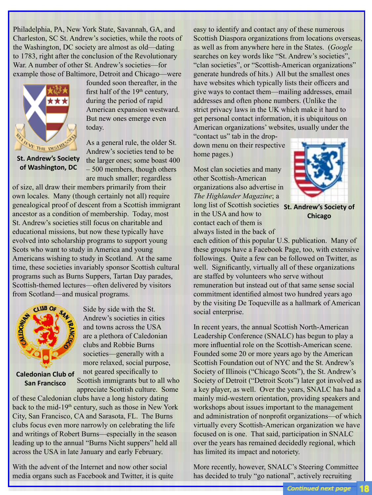Philadelphia, PA, New York State, Savannah, GA, and Charleston, SC St. Andrew's societies, while the roots of the Washington, DC society are almost as old—dating to 1783, right after the conclusion of the Revolutionary War. A number of other St. Andrew's societies—for example those of Baltimore, Detroit and Chicago—were



founded soon thereafter, in the first half of the  $19<sup>th</sup>$  century, during the period of rapid American expansion westward. But new ones emerge even today.

**St. Andrew's Society of Washington, DC**

As a general rule, the older St. Andrew's societies tend to be the larger ones; some boast 400 – 500 members, though others are much smaller; regardless

of size, all draw their members primarily from their own locales. Many (though certainly not all) require genealogical proof of descent from a Scottish immigrant ancestor as a condition of membership. Today, most St. Andrew's societies still focus on charitable and educational missions, but now these typically have evolved into scholarship programs to support young Scots who want to study in America and young Americans wishing to study in Scotland. At the same time, these societies invariably sponsor Scottish cultural programs such as Burns Suppers, Tartan Day parades, Scottish-themed lectures—often delivered by visitors from Scotland—and musical programs.



Side by side with the St. Andrew's societies in cities and towns across the USA are a plethora of Caledonian clubs and Robbie Burns societies—generally with a more relaxed, social purpose, not geared specifically to

**Caledonian Club of San Francisco**

Scottish immigrants but to all who appreciate Scottish culture. Some

of these Caledonian clubs have a long history dating back to the mid-19<sup>th</sup> century, such as those in New York City, San Francisco, CA and Sarasota, FL. The Burns clubs focus even more narrowly on celebrating the life and writings of Robert Burns—especially in the season leading up to the annual "Burns Nicht suppers" held all across the USA in late January and early February.

With the advent of the Internet and now other social media organs such as Facebook and Twitter, it is quite easy to identify and contact any of these numerous Scottish Diaspora organizations from locations overseas, as well as from anywhere here in the States. (*Google*  searches on key words like "St. Andrew's societies", "clan societies", or "Scottish-American organizations" generate hundreds of hits.) All but the smallest ones have websites which typically lists their officers and give ways to contact them—mailing addresses, email addresses and often phone numbers. (Unlike the strict privacy laws in the UK which make it hard to get personal contact information, it is ubiquitous on American organizations' websites, usually under the

"contact us" tab in the dropdown menu on their respective home pages.)

Most clan societies and many other Scottish-American organizations also advertise in *The Highlander Magazine*; a long list of Scottish societies **St. Andrew's Society of**  in the USA and how to contact each of them is always listed in the back of



**Chicago**

each edition of this popular U.S. publication. Many of these groups have a Facebook Page, too, with extensive followings. Quite a few can be followed on Twitter, as well. Significantly, virtually all of these organizations are staffed by volunteers who serve without remuneration but instead out of that same sense social commitment identified almost two hundred years ago by the visiting De Toqueville as a hallmark of American social enterprise.

In recent years, the annual Scottish North-American Leadership Conference (SNALC) has begun to play a more influential role on the Scottish-American scene. Founded some 20 or more years ago by the American Scottish Foundation out of NYC and the St. Andrew's Society of Illinois ("Chicago Scots"), the St. Andrew's Society of Detroit ("Detroit Scots") later got involved as a key player, as well. Over the years, SNALC has had a mainly mid-western orientation, providing speakers and workshops about issues important to the management and administration of nonprofit organizations—of which virtually every Scottish-American organization we have focused on is one. That said, participation in SNALC over the years has remained decidedly regional, which has limited its impact and notoriety.

More recently, however, SNALC's Steering Committee has decided to truly "go national", actively recruiting